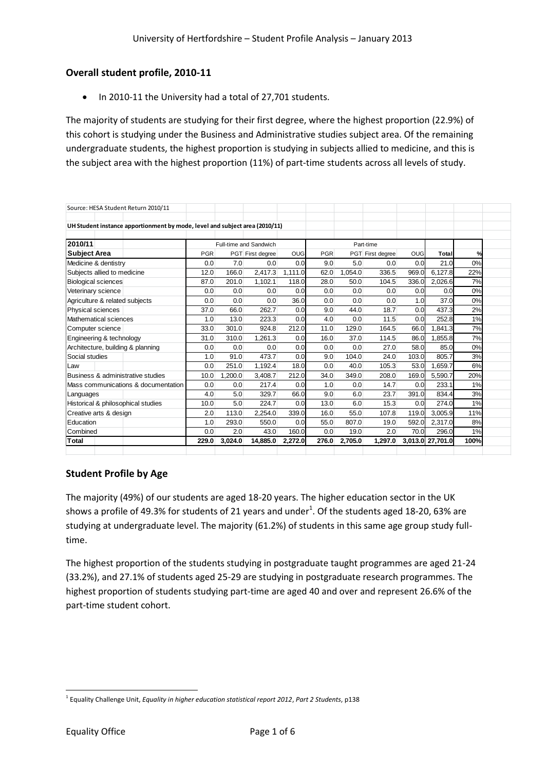## **Overall student profile, 2010-11**

• In 2010-11 the University had a total of 27,701 students.

The majority of students are studying for their first degree, where the highest proportion (22.9%) of this cohort is studying under the Business and Administrative studies subject area. Of the remaining undergraduate students, the highest proportion is studying in subjects allied to medicine, and this is the subject area with the highest proportion (11%) of part-time students across all levels of study.

| Source: HESA Student Return 2010/11                                         |       |         |                        |            |            |         |                  |            |                  |      |
|-----------------------------------------------------------------------------|-------|---------|------------------------|------------|------------|---------|------------------|------------|------------------|------|
| UH Student instance apportionment by mode, level and subject area (2010/11) |       |         |                        |            |            |         |                  |            |                  |      |
| 2010/11                                                                     |       |         | Full-time and Sandwich |            |            |         | Part-time        |            |                  |      |
| <b>Subject Area</b>                                                         | PGR   |         | PGT First degree       | <b>OUG</b> | <b>PGR</b> |         | PGT First degree | <b>OUG</b> | Total            | $\%$ |
| Medicine & dentistry                                                        | 0.0   | 7.0     | 0.0                    | 0.0        | 9.0        | 5.0     | 0.0              | 0.0        | 21.0             | 0%   |
| Subjects allied to medicine                                                 | 12.0  | 166.0   | 2.417.3                | 1.111.0    | 62.0       | 1.054.0 | 336.5            | 969.0      | 6.127.8          | 22%  |
| <b>Biological sciences</b>                                                  | 87.0  | 201.0   | 1,102.1                | 118.0      | 28.0       | 50.0    | 104.5            | 336.0      | 2,026.6          | 7%   |
| Veterinary science                                                          | 0.0   | 0.0     | 0.0                    | 0.0        | 0.0        | 0.0     | 0.0              | 0.0        | 0.0              | 0%   |
| Agriculture & related subjects                                              | 0.0   | 0.0     | 0.0                    | 36.0       | 0.0        | 0.0     | 0.0              | 1.0        | 37.0             | 0%   |
| <b>Physical sciences</b>                                                    | 37.0  | 66.0    | 262.7                  | 0.0        | 9.0        | 44.0    | 18.7             | 0.0        | 437.3            | 2%   |
| Mathematical sciences                                                       | 1.0   | 13.0    | 223.3                  | 0.0        | 4.0        | 0.0     | 11.5             | 0.0        | 252.8            | 1%   |
| Computer science                                                            | 33.0  | 301.0   | 924.8                  | 212.0      | 11.0       | 129.0   | 164.5            | 66.0       | 1.841.3          | 7%   |
| Engineering & technology                                                    | 31.0  | 310.0   | 1,261.3                | 0.0        | 16.0       | 37.0    | 114.5            | 86.0       | 1,855.8          | 7%   |
| Architecture, building & planning                                           | 0.0   | 0.0     | 0.0                    | 0.0        | 0.0        | 0.0     | 27.0             | 58.0       | 85.0             | 0%   |
| Social studies                                                              | 1.0   | 91.0    | 473.7                  | 0.0        | 9.0        | 104.0   | 24.0             | 103.0      | 805.7            | 3%   |
| Law                                                                         | 0.0   | 251.0   | 1,192.4                | 18.0       | 0.0        | 40.0    | 105.3            | 53.0       | 1.659.7          | 6%   |
| Business & administrative studies                                           | 10.0  | 1,200.0 | 3,408.7                | 212.0      | 34.0       | 349.0   | 208.0            | 169.0      | 5.590.7          | 20%  |
| Mass communications & documentation                                         | 0.0   | 0.0     | 217.4                  | 0.0        | 1.0        | 0.0     | 14.7             | 0.0        | 233.1            | 1%   |
| Languages                                                                   | 4.0   | 5.0     | 329.7                  | 66.0       | 9.0        | 6.0     | 23.7             | 391.0      | 834.4            | 3%   |
| Historical & philosophical studies                                          | 10.0  | 5.0     | 224.7                  | 0.0        | 13.0       | 6.0     | 15.3             | 0.0        | 274.0            | 1%   |
| Creative arts & design                                                      | 2.0   | 113.0   | 2,254.0                | 339.0      | 16.0       | 55.0    | 107.8            | 119.0      | 3,005.9          | 11%  |
| Education                                                                   | 1.0   | 293.0   | 550.0                  | 0.0        | 55.0       | 807.0   | 19.0             | 592.0      | 2,317.0          | 8%   |
| Combined                                                                    | 0.0   | 2.0     | 43.0                   | 160.0      | 0.0        | 19.0    | 2.0              | 70.0       | 296.0            | 1%   |
| lTotal                                                                      | 229.0 | 3.024.0 | 14.885.0               | 2.272.0    | 276.0      | 2.705.0 | 1.297.0          |            | 3,013.0 27,701.0 | 100% |

## **Student Profile by Age**

The majority (49%) of our students are aged 18-20 years. The higher education sector in the UK shows a profile of 49.3% for students of 21 years and under<sup>1</sup>. Of the students aged 18-20, 63% are studying at undergraduate level. The majority (61.2%) of students in this same age group study fulltime.

The highest proportion of the students studying in postgraduate taught programmes are aged 21-24 (33.2%), and 27.1% of students aged 25-29 are studying in postgraduate research programmes. The highest proportion of students studying part-time are aged 40 and over and represent 26.6% of the part-time student cohort.

 $\overline{a}$ 1 Equality Challenge Unit, *Equality in higher education statistical report 2012*, *Part 2 Students*, p138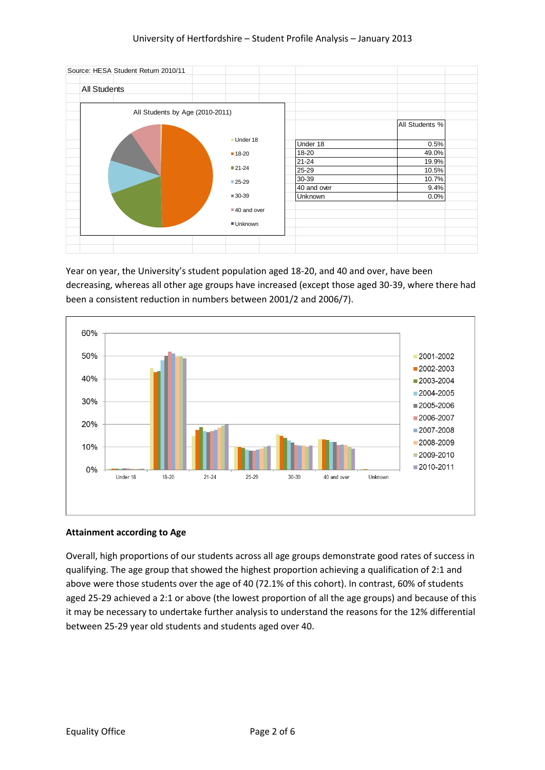

Year on year, the University's student population aged 18-20, and 40 and over, have been decreasing, whereas all other age groups have increased (except those aged 30-39, where there had been a consistent reduction in numbers between 2001/2 and 2006/7).



### **Attainment according to Age**

Overall, high proportions of our students across all age groups demonstrate good rates of success in qualifying. The age group that showed the highest proportion achieving a qualification of 2:1 and above were those students over the age of 40 (72.1% of this cohort). In contrast, 60% of students aged 25-29 achieved a 2:1 or above (the lowest proportion of all the age groups) and because of this it may be necessary to undertake further analysis to understand the reasons for the 12% differential between 25-29 year old students and students aged over 40.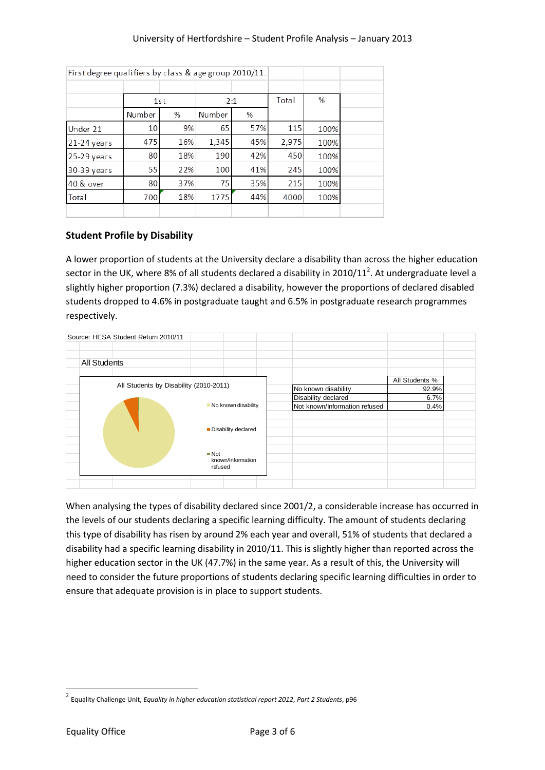| First degree qualifiers by class & age group 2010/11. |        |     |        |     |       |      |
|-------------------------------------------------------|--------|-----|--------|-----|-------|------|
|                                                       |        |     |        |     |       |      |
|                                                       | 1st    |     | 2:1    |     | Total | %    |
|                                                       | Number | %   | Number | %   |       |      |
| Under 21                                              | 10     | 9%  | 65     | 57% | 115   | 100% |
| 21-24 years                                           | 475    | 16% | 1,345  | 45% | 2,975 | 100% |
| 25-29 years                                           | 80     | 18% | 190    | 42% | 450   | 100% |
| 30-39 years                                           | 55     | 22% | 100    | 41% | 245   | 100% |
| 40 & over                                             | 80     | 37% | 75     | 35% | 215   | 100% |
| Total                                                 | 700    | 18% | 1775   | 44% | 4000  | 100% |
|                                                       |        |     |        |     |       |      |

# **Student Profile by Disability**

A lower proportion of students at the University declare a disability than across the higher education sector in the UK, where 8% of all students declared a disability in 2010/11<sup>2</sup>. At undergraduate level a slightly higher proportion (7.3%) declared a disability, however the proportions of declared disabled students dropped to 4.6% in postgraduate taught and 6.5% in postgraduate research programmes respectively.



When analysing the types of disability declared since 2001/2, a considerable increase has occurred in the levels of our students declaring a specific learning difficulty. The amount of students declaring this type of disability has risen by around 2% each year and overall, 51% of students that declared a disability had a specific learning disability in 2010/11. This is slightly higher than reported across the higher education sector in the UK (47.7%) in the same year. As a result of this, the University will need to consider the future proportions of students declaring specific learning difficulties in order to ensure that adequate provision is in place to support students.

**.** 

<sup>2</sup> Equality Challenge Unit, *Equality in higher education statistical report 2012*, *Part 2 Students*, p96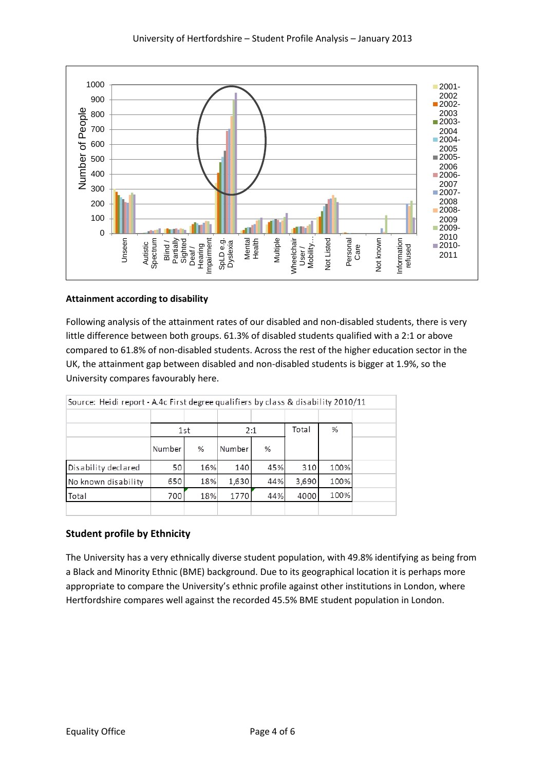

### **Attainment according to disability**

Following analysis of the attainment rates of our disabled and non-disabled students, there is very little difference between both groups. 61.3% of disabled students qualified with a 2:1 or above compared to 61.8% of non-disabled students. Across the rest of the higher education sector in the UK, the attainment gap between disabled and non-disabled students is bigger at 1.9%, so the University compares favourably here.

| Source: Heidi report - A.4c First degree qualifiers by class & disability 2010/11 |        |     |        |     |       |      |  |  |
|-----------------------------------------------------------------------------------|--------|-----|--------|-----|-------|------|--|--|
|                                                                                   |        |     |        |     |       |      |  |  |
|                                                                                   | 1st    |     | 2:1    |     | Total | %    |  |  |
|                                                                                   | Number | %   | Number | ℅   |       |      |  |  |
| Disability declared                                                               | 50     | 16% | 140    | 45% | 310   | 100% |  |  |
| No known disability                                                               | 650    | 18% | 1,630  | 44% | 3,690 | 100% |  |  |
| Total                                                                             | 700    | 18% | 1770   | 44% | 4000  | 100% |  |  |
|                                                                                   |        |     |        |     |       |      |  |  |

# **Student profile by Ethnicity**

The University has a very ethnically diverse student population, with 49.8% identifying as being from a Black and Minority Ethnic (BME) background. Due to its geographical location it is perhaps more appropriate to compare the University's ethnic profile against other institutions in London, where Hertfordshire compares well against the recorded 45.5% BME student population in London.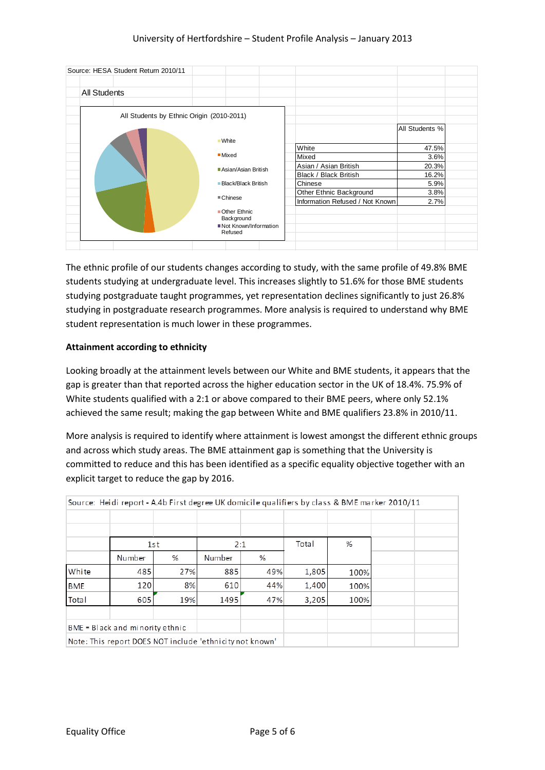| Source: HESA Student Return 2010/11       |                                  |                                 |                |  |
|-------------------------------------------|----------------------------------|---------------------------------|----------------|--|
| <b>All Students</b>                       |                                  |                                 |                |  |
|                                           |                                  |                                 |                |  |
| All Students by Ethnic Origin (2010-2011) |                                  |                                 |                |  |
|                                           |                                  |                                 | All Students % |  |
|                                           | <b>White</b>                     |                                 |                |  |
|                                           | Mixed                            | White                           | 47.5%          |  |
|                                           |                                  | Mixed                           | 3.6%           |  |
|                                           | Asian/Asian British              | Asian / Asian British           | 20.3%          |  |
|                                           |                                  | Black / Black British           | 16.2%          |  |
|                                           | Black/Black British              | Chinese                         | 5.9%           |  |
|                                           |                                  | Other Ethnic Background         | 3.8%           |  |
|                                           | ■ Chinese                        | Information Refused / Not Known | 2.7%           |  |
|                                           | Other Ethnic<br>Background       |                                 |                |  |
|                                           | Not Known/Information<br>Refused |                                 |                |  |
|                                           |                                  |                                 |                |  |

The ethnic profile of our students changes according to study, with the same profile of 49.8% BME students studying at undergraduate level. This increases slightly to 51.6% for those BME students studying postgraduate taught programmes, yet representation declines significantly to just 26.8% studying in postgraduate research programmes. More analysis is required to understand why BME student representation is much lower in these programmes.

### **Attainment according to ethnicity**

Looking broadly at the attainment levels between our White and BME students, it appears that the gap is greater than that reported across the higher education sector in the UK of 18.4%. 75.9% of White students qualified with a 2:1 or above compared to their BME peers, where only 52.1% achieved the same result; making the gap between White and BME qualifiers 23.8% in 2010/11.

More analysis is required to identify where attainment is lowest amongst the different ethnic groups and across which study areas. The BME attainment gap is something that the University is committed to reduce and this has been identified as a specific equality objective together with an explicit target to reduce the gap by 2016.

|            |                                                          |     |        |     |       |      | Source: Heidi report - A.4b First degree UK domicile qualifiers by class & BME marker 2010/11 |  |
|------------|----------------------------------------------------------|-----|--------|-----|-------|------|-----------------------------------------------------------------------------------------------|--|
|            |                                                          |     |        |     |       |      |                                                                                               |  |
|            |                                                          |     |        |     |       |      |                                                                                               |  |
|            |                                                          | 1st | 2:1    |     | Total | %    |                                                                                               |  |
|            | Number                                                   | %   | Number | %   |       |      |                                                                                               |  |
| White      | 485                                                      | 27% | 885    | 49% | 1,805 | 100% |                                                                                               |  |
| <b>BME</b> | 120                                                      | 8%  | 610    | 44% | 1,400 | 100% |                                                                                               |  |
| Total      | 605                                                      | 19% | 1495   | 47% | 3,205 | 100% |                                                                                               |  |
|            | $BME = Black and minority ethnic$                        |     |        |     |       |      |                                                                                               |  |
|            | Note: This report DOES NOT include 'ethnicity not known' |     |        |     |       |      |                                                                                               |  |